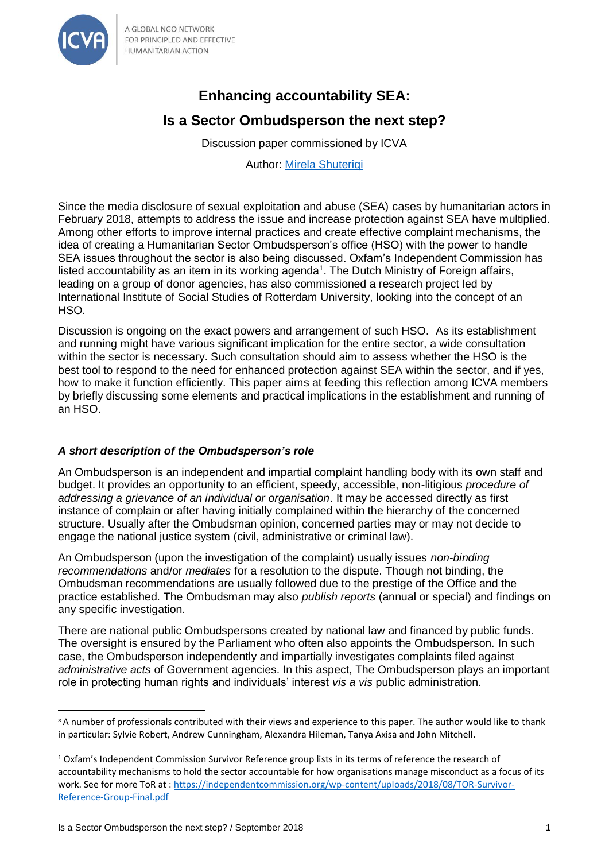

A GLOBAL NGO NETWORK FOR PRINCIPLED AND EFFECTIVE **HUMANITARIAN ACTION** 

# **Enhancing accountability SEA:**

# **Is a Sector Ombudsperson the next step?**

Discussion paper commissioned by ICVA

Author: [Mirela Shuteriqi](mailto:shuteriqim@gmail.com)

Since the media disclosure of sexual exploitation and abuse (SEA) cases by humanitarian actors in February 2018, attempts to address the issue and increase protection against SEA have multiplied. Among other efforts to improve internal practices and create effective complaint mechanisms, the idea of creating a Humanitarian Sector Ombudsperson's office (HSO) with the power to handle SEA issues throughout the sector is also being discussed. Oxfam's Independent Commission has listed accountability as an item in its working agenda<sup>1</sup>. The Dutch Ministry of Foreign affairs, leading on a group of donor agencies, has also commissioned a research project led by International Institute of Social Studies of Rotterdam University, looking into the concept of an HSO.

Discussion is ongoing on the exact powers and arrangement of such HSO. As its establishment and running might have various significant implication for the entire sector, a wide consultation within the sector is necessary. Such consultation should aim to assess whether the HSO is the best tool to respond to the need for enhanced protection against SEA within the sector, and if yes, how to make it function efficiently. This paper aims at feeding this reflection among ICVA members by briefly discussing some elements and practical implications in the establishment and running of an HSO.

# *A short description of the Ombudsperson's role*

An Ombudsperson is an independent and impartial complaint handling body with its own staff and budget. It provides an opportunity to an efficient, speedy, accessible, non-litigious *procedure of addressing a grievance of an individual or organisation*. It may be accessed directly as first instance of complain or after having initially complained within the hierarchy of the concerned structure. Usually after the Ombudsman opinion, concerned parties may or may not decide to engage the national justice system (civil, administrative or criminal law).

An Ombudsperson (upon the investigation of the complaint) usually issues *non-binding recommendations* and/or *mediates* for a resolution to the dispute. Though not binding, the Ombudsman recommendations are usually followed due to the prestige of the Office and the practice established. The Ombudsman may also *publish reports* (annual or special) and findings on any specific investigation.

There are national public Ombudspersons created by national law and financed by public funds. The oversight is ensured by the Parliament who often also appoints the Ombudsperson. In such case, the Ombudsperson independently and impartially investigates complaints filed against *administrative acts* of Government agencies. In this aspect, The Ombudsperson plays an important role in protecting human rights and individuals' interest *vis a vis* public administration.

l

<sup>×</sup>A number of professionals contributed with their views and experience to this paper. The author would like to thank in particular: Sylvie Robert, Andrew Cunningham, Alexandra Hileman, Tanya Axisa and John Mitchell.

<sup>1</sup> Oxfam's Independent Commission Survivor Reference group lists in its terms of reference the research of accountability mechanisms to hold the sector accountable for how organisations manage misconduct as a focus of its work. See for more ToR at : [https://independentcommission.org/wp-content/uploads/2018/08/TOR-Survivor-](https://independentcommission.org/wp-content/uploads/2018/08/TOR-Survivor-Reference-Group-Final.pdf)[Reference-Group-Final.pdf](https://independentcommission.org/wp-content/uploads/2018/08/TOR-Survivor-Reference-Group-Final.pdf)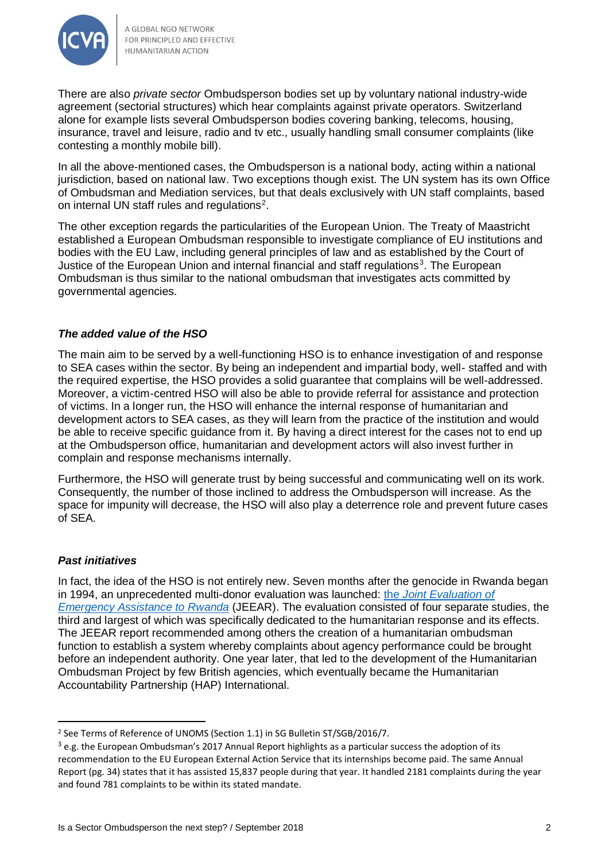

There are also *private sector* Ombudsperson bodies set up by voluntary national industry-wide agreement (sectorial structures) which hear complaints against private operators. Switzerland alone for example lists several Ombudsperson bodies covering banking, telecoms, housing, insurance, travel and leisure, radio and tv etc., usually handling small consumer complaints (like contesting a monthly mobile bill).

In all the above-mentioned cases, the Ombudsperson is a national body, acting within a national jurisdiction, based on national law. Two exceptions though exist. The UN system has its own Office of Ombudsman and Mediation services, but that deals exclusively with UN staff complaints, based on internal UN staff rules and regulations<sup>2</sup>.

The other exception regards the particularities of the European Union. The Treaty of Maastricht established a European Ombudsman responsible to investigate compliance of EU institutions and bodies with the EU Law, including general principles of law and as established by the Court of Justice of the European Union and internal financial and staff regulations<sup>3</sup>. The European Ombudsman is thus similar to the national ombudsman that investigates acts committed by governmental agencies.

## *The added value of the HSO*

The main aim to be served by a well-functioning HSO is to enhance investigation of and response to SEA cases within the sector. By being an independent and impartial body, well- staffed and with the required expertise, the HSO provides a solid guarantee that complains will be well-addressed. Moreover, a victim-centred HSO will also be able to provide referral for assistance and protection of victims. In a longer run, the HSO will enhance the internal response of humanitarian and development actors to SEA cases, as they will learn from the practice of the institution and would be able to receive specific guidance from it. By having a direct interest for the cases not to end up at the Ombudsperson office, humanitarian and development actors will also invest further in complain and response mechanisms internally.

Furthermore, the HSO will generate trust by being successful and communicating well on its work. Consequently, the number of those inclined to address the Ombudsperson will increase. As the space for impunity will decrease, the HSO will also play a deterrence role and prevent future cases of SEA.

#### *Past initiatives*

 $\overline{a}$ 

In fact, the idea of the HSO is not entirely new. Seven months after the genocide in Rwanda began in 1994, an unprecedented multi-donor evaluation was launched: the *[Joint Evaluation of](https://www.humanitarianlibrary.org/resource/joint-evaluation-emergency-assistance-rwanda-study-iii-principal-findings-and-0)  [Emergency Assistance to Rwanda](https://www.humanitarianlibrary.org/resource/joint-evaluation-emergency-assistance-rwanda-study-iii-principal-findings-and-0)* (JEEAR). The evaluation consisted of four separate studies, the third and largest of which was specifically dedicated to the humanitarian response and its effects. The JEEAR report recommended among others the creation of a humanitarian ombudsman function to establish a system whereby complaints about agency performance could be brought before an independent authority. One year later, that led to the development of the Humanitarian Ombudsman Project by few British agencies, which eventually became the Humanitarian Accountability Partnership (HAP) International.

<sup>&</sup>lt;sup>2</sup> See Terms of Reference of UNOMS (Section 1.1) in SG Bulletin ST/SGB/2016/7.

 $3$  e.g. the European Ombudsman's 2017 Annual Report highlights as a particular success the adoption of its recommendation to the EU European External Action Service that its internships become paid. The same Annual Report (pg. 34) states that it has assisted 15,837 people during that year. It handled 2181 complaints during the year and found 781 complaints to be within its stated mandate.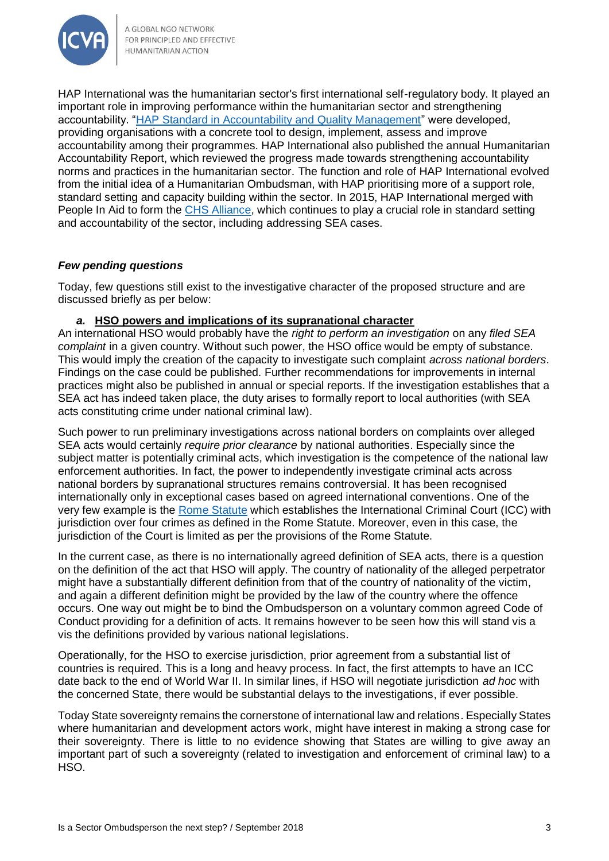

A GLOBAL NGO NETWORK FOR PRINCIPLED AND EFFECTIVE HUMANITARIAN ACTION

HAP International was the humanitarian sector's first international self-regulatory body. It played an important role in improving performance within the humanitarian sector and strengthening accountability. ["HAP Standard in Accountability and Quality Management"](https://reliefweb.int/sites/reliefweb.int/files/resources/260222E062A32EF085257829005BD6FE-Full_report.pdf) were developed, providing organisations with a concrete tool to design, implement, assess and improve accountability among their programmes. HAP International also published the annual Humanitarian Accountability Report, which reviewed the progress made towards strengthening accountability norms and practices in the humanitarian sector. The function and role of HAP International evolved from the initial idea of a Humanitarian Ombudsman, with HAP prioritising more of a support role, standard setting and capacity building within the sector. In 2015, HAP International merged with People In Aid to form the [CHS Alliance,](https://www.chsalliance.org/) which continues to play a crucial role in standard setting and accountability of the sector, including addressing SEA cases.

## *Few pending questions*

Today, few questions still exist to the investigative character of the proposed structure and are discussed briefly as per below:

#### *a.* **HSO powers and implications of its supranational character**

An international HSO would probably have the *right to perform an investigation* on any *filed SEA complaint* in a given country. Without such power, the HSO office would be empty of substance. This would imply the creation of the capacity to investigate such complaint *across national borders*. Findings on the case could be published. Further recommendations for improvements in internal practices might also be published in annual or special reports. If the investigation establishes that a SEA act has indeed taken place, the duty arises to formally report to local authorities (with SEA acts constituting crime under national criminal law).

Such power to run preliminary investigations across national borders on complaints over alleged SEA acts would certainly *require prior clearance* by national authorities. Especially since the subject matter is potentially criminal acts, which investigation is the competence of the national law enforcement authorities. In fact, the power to independently investigate criminal acts across national borders by supranational structures remains controversial. It has been recognised internationally only in exceptional cases based on agreed international conventions. One of the very few example is the [Rome Statute](https://www.icc-cpi.int/resourcelibrary/official-journal/rome-statute.aspx) which establishes the International Criminal Court (ICC) with jurisdiction over four crimes as defined in the Rome Statute. Moreover, even in this case, the jurisdiction of the Court is limited as per the provisions of the Rome Statute.

In the current case, as there is no internationally agreed definition of SEA acts, there is a question on the definition of the act that HSO will apply. The country of nationality of the alleged perpetrator might have a substantially different definition from that of the country of nationality of the victim, and again a different definition might be provided by the law of the country where the offence occurs. One way out might be to bind the Ombudsperson on a voluntary common agreed Code of Conduct providing for a definition of acts. It remains however to be seen how this will stand vis a vis the definitions provided by various national legislations.

Operationally, for the HSO to exercise jurisdiction, prior agreement from a substantial list of countries is required. This is a long and heavy process. In fact, the first attempts to have an ICC date back to the end of World War II. In similar lines, if HSO will negotiate jurisdiction *ad hoc* with the concerned State, there would be substantial delays to the investigations, if ever possible.

Today State sovereignty remains the cornerstone of international law and relations. Especially States where humanitarian and development actors work, might have interest in making a strong case for their sovereignty. There is little to no evidence showing that States are willing to give away an important part of such a sovereignty (related to investigation and enforcement of criminal law) to a HSO.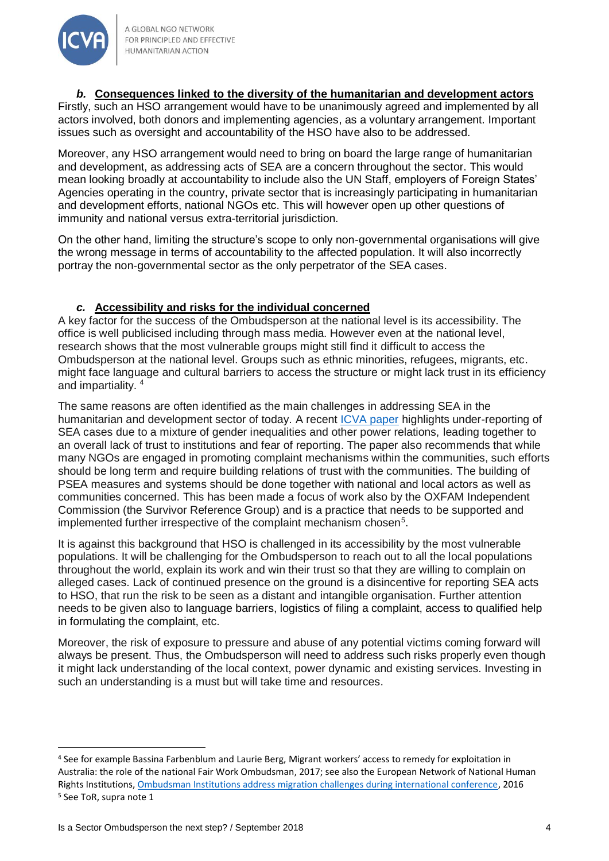

#### *b.* **Consequences linked to the diversity of the humanitarian and development actors**

Firstly, such an HSO arrangement would have to be unanimously agreed and implemented by all actors involved, both donors and implementing agencies, as a voluntary arrangement. Important issues such as oversight and accountability of the HSO have also to be addressed.

Moreover, any HSO arrangement would need to bring on board the large range of humanitarian and development, as addressing acts of SEA are a concern throughout the sector. This would mean looking broadly at accountability to include also the UN Staff, employers of Foreign States' Agencies operating in the country, private sector that is increasingly participating in humanitarian and development efforts, national NGOs etc. This will however open up other questions of immunity and national versus extra-territorial jurisdiction.

On the other hand, limiting the structure's scope to only non-governmental organisations will give the wrong message in terms of accountability to the affected population. It will also incorrectly portray the non-governmental sector as the only perpetrator of the SEA cases.

## *c.* **Accessibility and risks for the individual concerned**

A key factor for the success of the Ombudsperson at the national level is its accessibility. The office is well publicised including through mass media. However even at the national level, research shows that the most vulnerable groups might still find it difficult to access the Ombudsperson at the national level. Groups such as ethnic minorities, refugees, migrants, etc. might face language and cultural barriers to access the structure or might lack trust in its efficiency and impartiality. <sup>4</sup>

The same reasons are often identified as the main challenges in addressing SEA in the humanitarian and development sector of today. A recent [ICVA paper](https://www.icvanetwork.org/system/files/versions/The_Long_Run_to_PSEA_June2018.pdf) highlights under-reporting of SEA cases due to a mixture of gender inequalities and other power relations, leading together to an overall lack of trust to institutions and fear of reporting. The paper also recommends that while many NGOs are engaged in promoting complaint mechanisms within the communities, such efforts should be long term and require building relations of trust with the communities. The building of PSEA measures and systems should be done together with national and local actors as well as communities concerned. This has been made a focus of work also by the OXFAM Independent Commission (the Survivor Reference Group) and is a practice that needs to be supported and implemented further irrespective of the complaint mechanism chosen $5$ .

It is against this background that HSO is challenged in its accessibility by the most vulnerable populations. It will be challenging for the Ombudsperson to reach out to all the local populations throughout the world, explain its work and win their trust so that they are willing to complain on alleged cases. Lack of continued presence on the ground is a disincentive for reporting SEA acts to HSO, that run the risk to be seen as a distant and intangible organisation. Further attention needs to be given also to language barriers, logistics of filing a complaint, access to qualified help in formulating the complaint, etc.

Moreover, the risk of exposure to pressure and abuse of any potential victims coming forward will always be present. Thus, the Ombudsperson will need to address such risks properly even though it might lack understanding of the local context, power dynamic and existing services. Investing in such an understanding is a must but will take time and resources.

 $\overline{a}$ 

<sup>4</sup> See for example Bassina Farbenblum and Laurie Berg, Migrant workers' access to remedy for exploitation in Australia: the role of the national Fair Work Ombudsman, 2017; see also the European Network of National Human Rights Institutions[, Ombudsman Institutions address migration challenges during international conference,](http://ennhri.org/Ombudsman-Institutions-address-migration-challenges-during-international) 2016 <sup>5</sup> See ToR, supra note 1